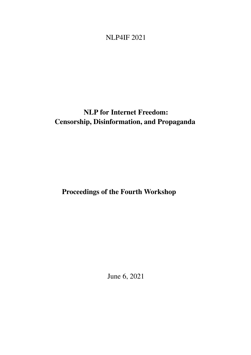# <span id="page-0-0"></span>NLP4IF 2021

# NLP for Internet Freedom: Censorship, Disinformation, and Propaganda

Proceedings of the Fourth Workshop

June 6, 2021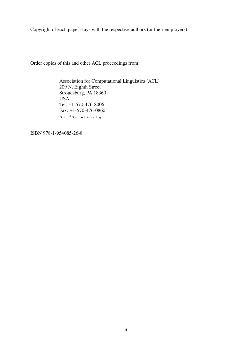Copyright of each paper stays with the respective authors (or their employers).

Order copies of this and other ACL proceedings from:

Association for Computational Linguistics (ACL) 209 N. Eighth Street Stroudsburg, PA 18360 USA Tel: +1-570-476-8006 Fax: +1-570-476-0860 acl@aclweb.org

ISBN 978-1-954085-26-8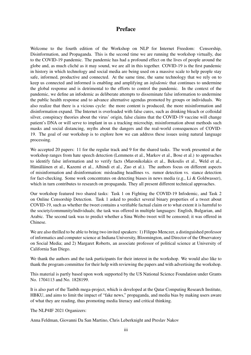### Preface

Welcome to the fourth edition of the Workshop on NLP for Internet Freedom: Censorship, Disinformation, and Propaganda. This is the second time we are running the workshop virtually, due to the COVID-19 pandemic. The pandemic has had a profound effect on the lives of people around the globe and, as much cliché as it may sound, we are all in this together. COVID-19 is the first pandemic in history in which technology and social media are being used on a massive scale to help people stay safe, informed, productive and connected. At the same time, the same technology that we rely on to keep us connected and informed is enabling and amplifying an *infodemic* that continues to undermine the global response and is detrimental to the efforts to control the pandemic. In the context of the pandemic, we define an infodemic as deliberate attempts to disseminate false information to undermine the public health response and to advance alternative agendas promoted by groups or individuals. We also realize that there is a vicious cycle: the more content is produced, the more misinformation and disinformation expand. The Internet is overloaded with false cures, such as drinking bleach or colloidal silver, conspiracy theories about the virus' origin, false claims that the COVID-19 vaccine will change patient's DNA or will serve to implant in us a tracking microchip, misinformation about methods such masks and social distancing, myths about the dangers and the real-world consequences of COVID-19. The goal of our workshop is to explore how we can address these issues using natural language processing.

We accepted 20 papers: 11 for the regular track and 9 for the shared tasks. The work presented at the workshop ranges from hate speech detection (Lemmens et al., Markov et al., Bose et al.) to approaches to identify false information and to verify facts (Maronikolakis et al., Bekoulis et al., Weld et al., Hämäläinen et al., Kazemi et al., Alhindi et al., Zuo et al.). The authors focus on different aspects of misinformation and disinformation: misleading headlines vs. rumor detection vs. stance detection for fact-checking. Some work concentrates on detecting biases in news media (e.g., Li & Goldwasser), which in turn contributes to research on propaganda. They all present different technical approaches.

Our workshop featured two shared tasks: Task 1 on Fighting the COVID-19 Infodemic, and Task 2 on Online Censorship Detection. Task 1 asked to predict several binary properties of a tweet about COVID-19, such as whether the tweet contains a verifiable factual claim or to what extent it is harmful to the society/community/individuals; the task was offered in multiple languages: English, Bulgarian, and Arabic. The second task was to predict whether a Sina Weibo tweet will be censored; it was offered in Chinese.

We are also thrilled to be able to bring two invited speakers: 1) Filippo Menczer, a distinguished professor of informatics and computer science at Indiana University, Bloomington, and Director of the Observatory on Social Media; and 2) Margaret Roberts, an associate professor of political science at University of California San Diego.

We thank the authors and the task participants for their interest in the workshop. We would also like to thank the program committee for their help with reviewing the papers and with advertising the workshop.

This material is partly based upon work supported by the US National Science Foundation under Grants No. 1704113 and No. 1828199.

It is also part of the Tanbih mega-project, which is developed at the Qatar Computing Research Institute, HBKU, and aims to limit the impact of "fake news," propaganda, and media bias by making users aware of what they are reading, thus promoting media literacy and critical thinking.

The NLP4IF 2021 Organizers:

Anna Feldman, Giovanni Da San Martino, Chris Leberknight and Preslav Nakov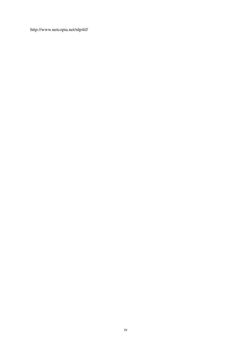http://www.netcopia.net/nlp4if/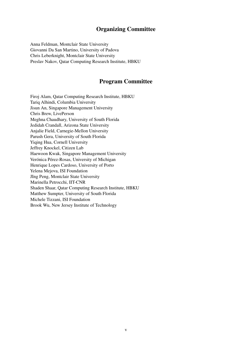# Organizing Committee

Anna Feldman, Montclair State University Giovanni Da San Martino, University of Padova Chris Leberknight, Montclair State University Preslav Nakov, Qatar Computing Research Institute, HBKU

## Program Committee

Firoj Alam, Qatar Computing Research Institute, HBKU Tariq Alhindi, Columbia University Jisun An, Singapore Management University Chris Brew, LivePerson Meghna Chaudhary, University of South Florida Jedidah Crandall, Arizona State University Anjalie Field, Carnegie-Mellon University Parush Gera, University of South Florida Yiqing Hua, Cornell University Jeffrey Knockel, Citizen Lab Haewoon Kwak, Singapore Management University Verónica Pérez-Rosas, University of Michigan Henrique Lopes Cardoso, University of Porto Yelena Mejova, ISI Foundation JIng Peng, Montclair State University Marinella Petrocchi, IIT-CNR Shaden Shaar, Qatar Computing Research Institute, HBKU Matthew Sumpter, University of South Florida Michele Tizzani, ISI Foundation Brook Wu, New Jersey Institute of Technology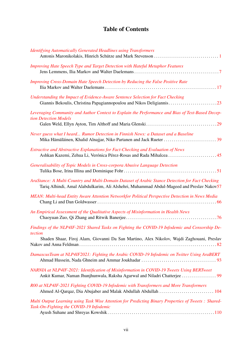# Table of Contents

| <b>Identifying Automatically Generated Headlines using Transformers</b>                                                                                                                                |
|--------------------------------------------------------------------------------------------------------------------------------------------------------------------------------------------------------|
| Improving Hate Speech Type and Target Detection with Hateful Metaphor Features                                                                                                                         |
| Improving Cross-Domain Hate Speech Detection by Reducing the False Positive Rate                                                                                                                       |
| Understanding the Impact of Evidence-Aware Sentence Selection for Fact Checking                                                                                                                        |
| Leveraging Community and Author Context to Explain the Performance and Bias of Text-Based Decep-<br>tion Detection Models                                                                              |
| Never guess what I heard Rumor Detection in Finnish News: a Dataset and a Baseline                                                                                                                     |
| Extractive and Abstractive Explanations for Fact-Checking and Evaluation of News<br>Ashkan Kazemi, Zehua Li, Verónica Pérez-Rosas and Rada Mihalcea45                                                  |
| Generalisability of Topic Models in Cross-corpora Abusive Language Detection                                                                                                                           |
| AraStance: A Multi-Country and Multi-Domain Dataset of Arabic Stance Detection for Fact Checking<br>Tariq Alhindi, Amal Alabdulkarim, Ali Alshehri, Muhammad Abdul-Mageed and Preslav Nakov57          |
| MEAN: Multi-head Entity Aware Attention Networkfor Political Perspective Detection in News Media                                                                                                       |
| An Empirical Assessment of the Qualitative Aspects of Misinformation in Health News                                                                                                                    |
| Findings of the NLP4IF-2021 Shared Tasks on Fighting the COVID-19 Infodemic and Censorship De-<br>tection<br>Shaden Shaar, Firoj Alam, Giovanni Da San Martino, Alex Nikolov, Wajdi Zaghouani, Preslav |
| DamascusTeam at NLP4IF2021: Fighting the Arabic COVID-19 Infodemic on Twitter Using AraBERT                                                                                                            |
| NARNIA at NLP4IF-2021: Identification of Misinformation in COVID-19 Tweets Using BERTweet                                                                                                              |
| R00 at NLP4IF-2021 Fighting COVID-19 Infodemic with Transformers and More Transformers                                                                                                                 |
| Multi Output Learning using Task Wise Attention for Predicting Binary Properties of Tweets : Shared-<br>Task-On-Fighting the COVID-19 Infodemic                                                        |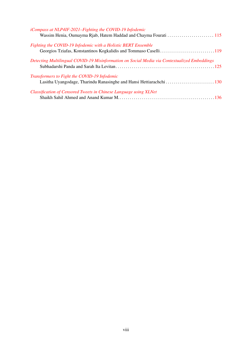| <i>iCompass at NLP4IF-2021–Fighting the COVID-19 Infodemic</i>                               |  |
|----------------------------------------------------------------------------------------------|--|
|                                                                                              |  |
| Fighting the COVID-19 Infodemic with a Holistic BERT Ensemble                                |  |
|                                                                                              |  |
| Detecting Multilingual COVID-19 Misinformation on Social Media via Contextualized Embeddings |  |
|                                                                                              |  |
| Transformers to Fight the COVID-19 Infodemic                                                 |  |
|                                                                                              |  |
| Classification of Censored Tweets in Chinese Language using XLNet                            |  |
|                                                                                              |  |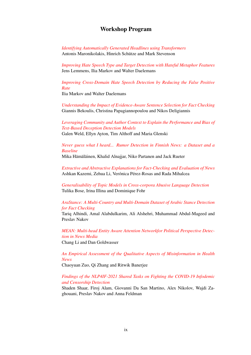#### Workshop Program

*[Identifying Automatically Generated Headlines using Transformers](#page-0-0)* Antonis Maronikolakis, Hinrich Schütze and Mark Stevenson

*[Improving Hate Speech Type and Target Detection with Hateful Metaphor Features](#page-0-0)* Jens Lemmens, Ilia Markov and Walter Daelemans

*[Improving Cross-Domain Hate Speech Detection by Reducing the False Positive](#page-0-0) [Rate](#page-0-0)*

Ilia Markov and Walter Daelemans

*[Understanding the Impact of Evidence-Aware Sentence Selection for Fact Checking](#page-0-0)* Giannis Bekoulis, Christina Papagiannopoulou and Nikos Deligiannis

### *[Leveraging Community and Author Context to Explain the Performance and Bias of](#page-0-0) [Text-Based Deception Detection Models](#page-0-0)*

Galen Weld, Ellyn Ayton, Tim Althoff and Maria Glenski

#### *[Never guess what I heard... Rumor Detection in Finnish News: a Dataset and a](#page-0-0) [Baseline](#page-0-0)*

Mika Hämäläinen, Khalid Alnajjar, Niko Partanen and Jack Rueter

*[Extractive and Abstractive Explanations for Fact-Checking and Evaluation of News](#page-0-0)* Ashkan Kazemi, Zehua Li, Verónica Pérez-Rosas and Rada Mihalcea

*[Generalisability of Topic Models in Cross-corpora Abusive Language Detection](#page-0-0)* Tulika Bose, Irina Illina and Dominique Fohr

#### *[AraStance: A Multi-Country and Multi-Domain Dataset of Arabic Stance Detection](#page-0-0) [for Fact Checking](#page-0-0)*

Tariq Alhindi, Amal Alabdulkarim, Ali Alshehri, Muhammad Abdul-Mageed and Preslav Nakov

*[MEAN: Multi-head Entity Aware Attention Networkfor Political Perspective Detec](#page-0-0)[tion in News Media](#page-0-0)*

Chang Li and Dan Goldwasser

*[An Empirical Assessment of the Qualitative Aspects of Misinformation in Health](#page-0-0) [News](#page-0-0)*

Chaoyuan Zuo, Qi Zhang and Ritwik Banerjee

#### *[Findings of the NLP4IF-2021 Shared Tasks on Fighting the COVID-19 Infodemic](#page-0-0) [and Censorship Detection](#page-0-0)*

Shaden Shaar, Firoj Alam, Giovanni Da San Martino, Alex Nikolov, Wajdi Zaghouani, Preslav Nakov and Anna Feldman